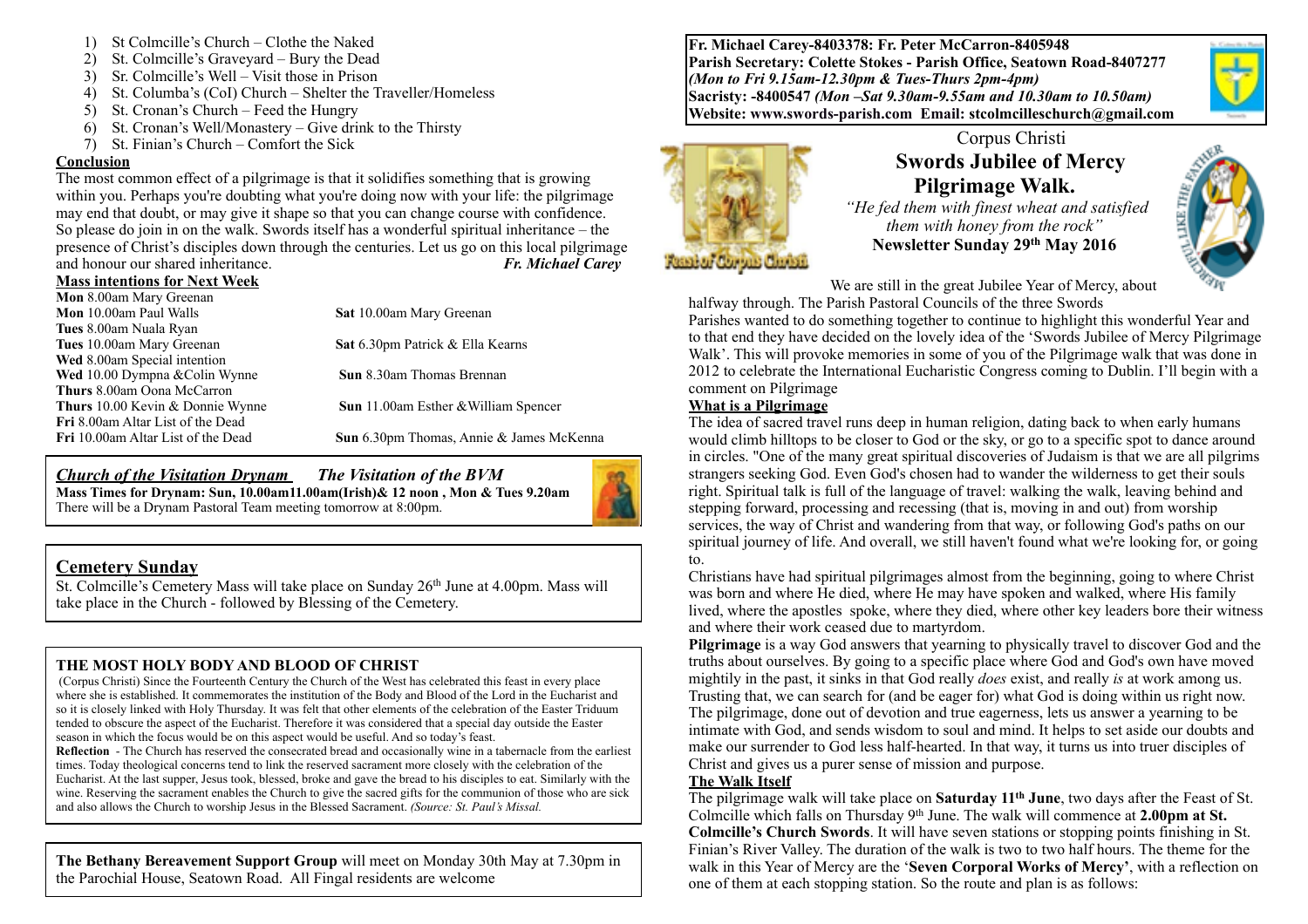- 1) St Colmcille's Church Clothe the Naked
- 2) St. Colmcille's Graveyard Bury the Dead
- 3) Sr. Colmcille's Well Visit those in Prison
- 4) St. Columba's (CoI) Church Shelter the Traveller/Homeless
- 5) St. Cronan's Church Feed the Hungry
- 6) St. Cronan's Well/Monastery Give drink to the Thirsty
- 7) St. Finian's Church Comfort the Sick

#### **Conclusion**

The most common effect of a pilgrimage is that it solidifies something that is growing within you. Perhaps you're doubting what you're doing now with your life: the pilgrimage may end that doubt, or may give it shape so that you can change course with confidence. So please do join in on the walk. Swords itself has a wonderful spiritual inheritance – the presence of Christ's disciples down through the centuries. Let us go on this local pilgrimage and honour our shared inheritance. *Fr. Michael Carey* 

#### **Mass intentions for Next Week**

| Mon 8.00am Mary Greenan                  |                                             |
|------------------------------------------|---------------------------------------------|
| Mon 10.00am Paul Walls                   | Sat 10.00am Mary Greenan                    |
| Tues 8.00am Nuala Ryan                   |                                             |
| Tues 10.00am Mary Greenan                | Sat 6.30pm Patrick & Ella Kearns            |
| Wed 8.00am Special intention             |                                             |
| Wed 10.00 Dympna & Colin Wynne           | <b>Sun</b> 8.30am Thomas Brennan            |
| <b>Thurs</b> 8.00am Oona McCarron        |                                             |
| <b>Thurs</b> 10.00 Kevin & Donnie Wynne  | <b>Sun</b> 11.00am Esther & William Spencer |
| <b>Fri</b> 8.00am Altar List of the Dead |                                             |
| Fri 10.00am Altar List of the Dead       | Sun 6.30pm Thomas, Annie & James McKenna    |
|                                          |                                             |

*Church of the Visitation Drynam**The Visitation of the BVM* **Mass Times for Drynam: Sun, 10.00am11.00am(Irish)& 12 noon , Mon & Tues 9.20am**  There will be a Drynam Pastoral Team meeting tomorrow at 8:00pm.



## **Cemetery Sunday**

St. Colmcille's Cemetery Mass will take place on Sunday 26<sup>th</sup> June at 4.00pm. Mass will take place in the Church - followed by Blessing of the Cemetery.

### **THE MOST HOLY BODY AND BLOOD OF CHRIST**

 (Corpus Christi) Since the Fourteenth Century the Church of the West has celebrated this feast in every place where she is established. It commemorates the institution of the Body and Blood of the Lord in the Eucharist and so it is closely linked with Holy Thursday. It was felt that other elements of the celebration of the Easter Triduum tended to obscure the aspect of the Eucharist. Therefore it was considered that a special day outside the Easter season in which the focus would be on this aspect would be useful. And so today's feast.

**Reflection** - The Church has reserved the consecrated bread and occasionally wine in a tabernacle from the earliest times. Today theological concerns tend to link the reserved sacrament more closely with the celebration of the Eucharist. At the last supper, Jesus took, blessed, broke and gave the bread to his disciples to eat. Similarly with the wine. Reserving the sacrament enables the Church to give the sacred gifts for the communion of those who are sick and also allows the Church to worship Jesus in the Blessed Sacrament. *(Source: St. Paul's Missal.*

**The Bethany Bereavement Support Group** will meet on Monday 30th May at 7.30pm in the Parochial House, Seatown Road. All Fingal residents are welcome

**Fr. Michael Carey-8403378: Fr. Peter McCarron-8405948 Parish Secretary: Colette Stokes - Parish Office, Seatown Road-8407277**  *(Mon to Fri 9.15am-12.30pm & Tues-Thurs 2pm-4pm)*  **Sacristy: -8400547** *(Mon –Sat 9.30am-9.55am and 10.30am to 10.50am)* **Website: [www.swords-parish.com Email:](http://www.swords-parish.com%20%20email) stcolmcilleschurch@gmail.com**



# Corpus Christi  **Swords Jubilee of Mercy Pilgrimage Walk.**

 *"He fed them with finest wheat and satisfied them with honey from the rock"*  **Newsletter Sunday 29th May 2016** 



We are still in the great Jubilee Year of Mercy, about halfway through. The Parish Pastoral Councils of the three Swords

Parishes wanted to do something together to continue to highlight this wonderful Year and to that end they have decided on the lovely idea of the 'Swords Jubilee of Mercy Pilgrimage Walk'. This will provoke memories in some of you of the Pilgrimage walk that was done in 2012 to celebrate the International Eucharistic Congress coming to Dublin. I'll begin with a comment on Pilgrimage

### **What is a Pilgrimage**

The idea of sacred travel runs deep in human religion, dating back to when early humans would climb hilltops to be closer to God or the sky, or go to a specific spot to dance around in circles. "One of the many great spiritual discoveries of Judaism is that we are all pilgrims strangers seeking God. Even God's chosen had to wander the wilderness to get their souls right. Spiritual talk is full of the language of travel: walking the walk, leaving behind and stepping forward, processing and recessing (that is, moving in and out) from worship services, the way of Christ and wandering from that way, or following God's paths on our spiritual journey of life. And overall, we still haven't found what we're looking for, or going to.

Christians have had spiritual pilgrimages almost from the beginning, going to where Christ was born and where He died, where He may have spoken and walked, where His family lived, where the apostles spoke, where they died, where other key leaders bore their witness and where their work ceased due to martyrdom.

**Pilgrimage** is a way God answers that yearning to physically travel to discover God and the truths about ourselves. By going to a specific place where God and God's own have moved mightily in the past, it sinks in that God really *does* exist, and really *is* at work among us. Trusting that, we can search for (and be eager for) what God is doing within us right now. The pilgrimage, done out of devotion and true eagerness, lets us answer a yearning to be intimate with God, and sends wisdom to soul and mind. It helps to set aside our doubts and make our surrender to God less half-hearted. In that way, it turns us into truer disciples of Christ and gives us a purer sense of mission and purpose.

### **The Walk Itself**

The pilgrimage walk will take place on **Saturday 11th June**, two days after the Feast of St. Colmcille which falls on Thursday 9th June. The walk will commence at **2.00pm at St. Colmcille's Church Swords**. It will have seven stations or stopping points finishing in St. Finian's River Valley. The duration of the walk is two to two half hours. The theme for the walk in this Year of Mercy are the '**Seven Corporal Works of Mercy'**, with a reflection on one of them at each stopping station. So the route and plan is as follows: